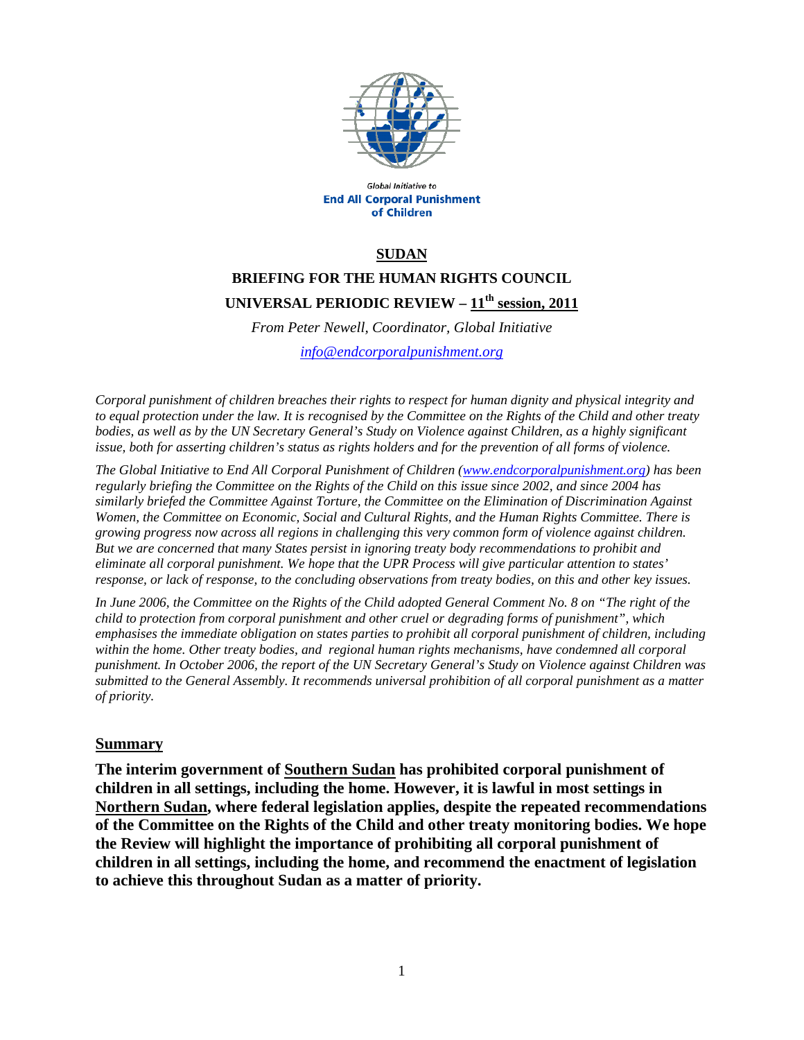

Global Initiative to **End All Corporal Punishment** of Children

#### **SUDAN**

# **BRIEFING FOR THE HUMAN RIGHTS COUNCIL UNIVERSAL PERIODIC REVIEW – 11th session, 2011**

*From Peter Newell, Coordinator, Global Initiative info@endcorporalpunishment.org*

*Corporal punishment of children breaches their rights to respect for human dignity and physical integrity and to equal protection under the law. It is recognised by the Committee on the Rights of the Child and other treaty bodies, as well as by the UN Secretary General's Study on Violence against Children, as a highly significant issue, both for asserting children's status as rights holders and for the prevention of all forms of violence.* 

*The Global Initiative to End All Corporal Punishment of Children (www.endcorporalpunishment.org) has been regularly briefing the Committee on the Rights of the Child on this issue since 2002, and since 2004 has similarly briefed the Committee Against Torture, the Committee on the Elimination of Discrimination Against Women, the Committee on Economic, Social and Cultural Rights, and the Human Rights Committee. There is growing progress now across all regions in challenging this very common form of violence against children. But we are concerned that many States persist in ignoring treaty body recommendations to prohibit and eliminate all corporal punishment. We hope that the UPR Process will give particular attention to states' response, or lack of response, to the concluding observations from treaty bodies, on this and other key issues.* 

*In June 2006, the Committee on the Rights of the Child adopted General Comment No. 8 on "The right of the child to protection from corporal punishment and other cruel or degrading forms of punishment", which emphasises the immediate obligation on states parties to prohibit all corporal punishment of children, including within the home. Other treaty bodies, and regional human rights mechanisms, have condemned all corporal punishment. In October 2006, the report of the UN Secretary General's Study on Violence against Children was submitted to the General Assembly. It recommends universal prohibition of all corporal punishment as a matter of priority.*

#### **Summary**

**The interim government of Southern Sudan has prohibited corporal punishment of children in all settings, including the home. However, it is lawful in most settings in Northern Sudan, where federal legislation applies, despite the repeated recommendations of the Committee on the Rights of the Child and other treaty monitoring bodies. We hope the Review will highlight the importance of prohibiting all corporal punishment of children in all settings, including the home, and recommend the enactment of legislation to achieve this throughout Sudan as a matter of priority.**